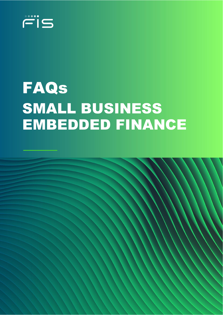

# FAQs SMALL BUSINESS EMBEDDED FINANCE

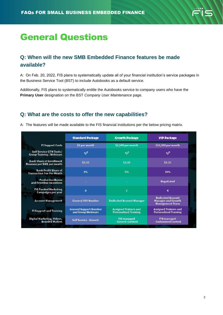# General Questions

# **Q: When will the new SMB Embedded Finance features be made available?**

A: On Feb. 20, 2022, FIS plans to systematically update all of your financial institution's service packages in the Business Service Tool (BST) to include Autobooks as a default service.

Additionally, FIS plans to systematically entitle the Autobooks service to company users who have the **Primary User** designation on the BST *Company User Maintenance* page.

#### **Q: What are the costs to offer the new capabilities?**

A: The features will be made available to the FIS financial institutions per the below pricing matrix.

|                                                                 | <b>Standard Package</b>                             | <b>Growth Package</b>                                        | <b>VIP Package</b>                                                              |
|-----------------------------------------------------------------|-----------------------------------------------------|--------------------------------------------------------------|---------------------------------------------------------------------------------|
| <b>FI Support Costs</b>                                         | \$0 per month                                       | \$2,500 per month                                            | \$10,000 per month                                                              |
| Self Service GTM Tools /<br><b>Group Training / Webinars</b>    | ✅                                                   | ✅                                                            | ✅                                                                               |
| <b>Bank Share of Enrollment</b><br>Revenue per SMB per month    | \$3.33                                              | \$3.33                                                       | \$3.33                                                                          |
| <b>Bank Profit Share of</b><br><b>Transaction Fee Per Month</b> | 0%                                                  | 5%                                                           | 10%                                                                             |
| <b>Production Bonus</b><br>and Frontline Incentives             |                                                     |                                                              | <b>Negotiated</b>                                                               |
| <b>FIS Funded Marketing</b><br><b>Campaigns per year</b>        | $\bf{0}$                                            | $\overline{2}$                                               | 4                                                                               |
| <b>Account Management</b>                                       | <b>General 800 Number</b>                           | <b>Dedicated Account Manager</b>                             | <b>Dedicated Account</b><br><b>Manager and Growth</b><br><b>Management Team</b> |
| <b>FI Support and Training</b>                                  | <b>General Support Number</b><br>and Group Webinars | <b>Assigned Trainers and</b><br><b>Personalized Training</b> | <b>Assigned Trainers and</b><br><b>Personalized Training</b>                    |
| Digital Marketing, Videos,<br><b>Branded Mailers</b>            | <b>Self Service - Generic</b>                       | <b>FIS managed</b><br>- Generic Content                      | <b>FIS</b> managed<br>- Customized content                                      |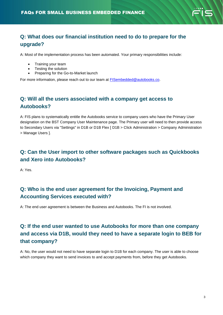

### **Q: What does our financial institution need to do to prepare for the upgrade?**

A: Most of the implementation process has been automated. Your primary responsibilities include:

- Training your team
- Testing the solution
- Preparing for the Go-to-Market launch

For more information, please reach out to our team at **FISembedded@autobooks.co.** 

#### **Q: Will all the users associated with a company get access to Autobooks?**

A: FIS plans to systematically entitle the Autobooks service to company users who have the Primary User designation on the BST Company User Maintenance page. The Primary user will need to then provide access to Secondary Users via "Settings" in D1B or D1B Flex [ D1B > Click Administration > Company Administration > Manage Users ].

#### **Q: Can the User import to other software packages such as Quickbooks and Xero into Autobooks?**

A: Yes.

#### **Q: Who is the end user agreement for the Invoicing, Payment and Accounting Services executed with?**

A: The end user agreement is between the Business and Autobooks. The FI is not involved.

# **Q: If the end user wanted to use Autobooks for more than one company and access via D1B, would they need to have a separate login to BEB for that company?**

A: No, the user would not need to have separate login to D1B for each company. The user is able to choose which company they want to send invoices to and accept payments from, before they get Autobooks.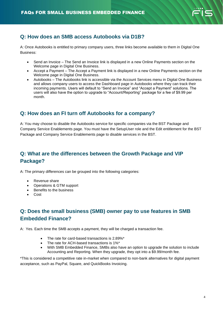

# **Q: How does an SMB access Autobooks via D1B?**

A: Once Autobooks is entitled to primary company users, three links become available to them in Digital One Business:

- Send an Invoice The Send an Invoice link is displayed in a new Online Payments section on the Welcome page in Digital One Business.
- Accept a Payment The Accept a Payment link is displayed in a new Online Payments section on the Welcome page in Digital One Business.
- Autobooks The Autobooks link is accessible via the Account Services menu in Digital One Business and allows company users to access the Dashboard page in Autobooks where they can track their incoming payments. Users will default to "Send an Invoice" and "Accept a Payment" solutions. The users will also have the option to upgrade to "Account/Reporting" package for a fee of \$9.99 per month.

#### **Q: How does an FI turn off Autobooks for a company?**

A: You may choose to disable the Autobooks service for specific companies via the BST Package and Company Service Enablements page. You must have the SetupUser role and the Edit entitlement for the BST Package and Company Service Enablements page to disable services in the BST.

# **Q: What are the differences between the Growth Package and VIP Package?**

A: The primary differences can be grouped into the following categories:

- Revenue share
- Operations & GTM support
- Benefits to the business
- Cost

# **Q: Does the small business (SMB) owner pay to use features in SMB Embedded Finance?**

A: Yes. Each time the SMB accepts a payment, they will be charged a transaction fee.

- The rate for card-based transactions is 2.89%\*
- The rate for ACH-based transactions is 1%\*
- With SMB Embedded Finance, SMBs also have an option to upgrade the solution to include Accounting and Reporting. When they upgrade, they opt into a \$9.99/month fee.

\*This is considered a competitive rate in-market when compared to non-bank alternatives for digital payment acceptance, such as PayPal, Square, and QuickBooks Invoicing.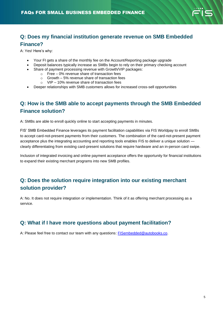

#### **Q: Does my financial institution generate revenue on SMB Embedded Finance?**

A: Yes! Here's why:

- Your FI gets a share of the monthly fee on the Account/Reporting package upgrade
- Deposit balances typically increase as SMBs begin to rely on their primary checking account
- Share of payment processing revenue with Growth/VIP packages:
	- o Free 0% revenue share of transaction fees
	- o Growth 5% revenue share of transaction fees
	- o VIP 10% revenue share of transaction fees
- Deeper relationships with SMB customers allows for increased cross-sell opportunities

# **Q: How is the SMB able to accept payments through the SMB Embedded Finance solution?**

A: SMBs are able to enroll quickly online to start accepting payments in minutes.

FIS' SMB Embedded Finance leverages its payment facilitation capabilities via FIS Worldpay to enroll SMBs to accept card-not-present payments from their customers. The combination of the card-not-present payment acceptance plus the integrating accounting and reporting tools enables FIS to deliver a unique solution clearly differentiating from existing card-present solutions that require hardware and an in-person card swipe.

Inclusion of integrated invoicing and online payment acceptance offers the opportunity for financial institutions to expand their existing merchant programs into new SMB profiles.

# **Q: Does the solution require integration into our existing merchant solution provider?**

A: No. It does not require integration or implementation. Think of it as offering merchant processing as a service.

#### **Q: What if I have more questions about payment facilitation?**

A: Please feel free to contact our team with any questions: [FISembedded@autobooks.co.](mailto:FISembedded@autobooks.co)